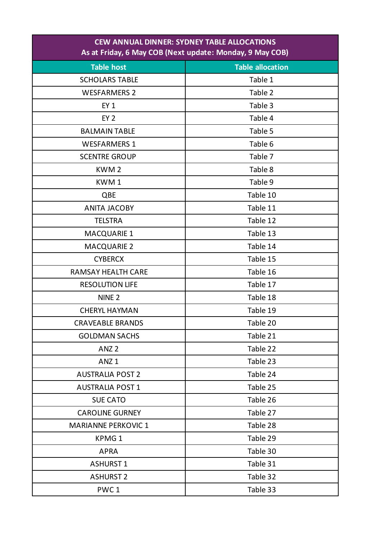| <b>CEW ANNUAL DINNER: SYDNEY TABLE ALLOCATIONS</b><br>As at Friday, 6 May COB (Next update: Monday, 9 May COB) |                         |  |
|----------------------------------------------------------------------------------------------------------------|-------------------------|--|
| <b>Table host</b>                                                                                              | <b>Table allocation</b> |  |
| <b>SCHOLARS TABLE</b>                                                                                          | Table 1                 |  |
| <b>WESFARMERS 2</b>                                                                                            | Table 2                 |  |
| $EY_1$                                                                                                         | Table 3                 |  |
| EY <sub>2</sub>                                                                                                | Table 4                 |  |
| <b>BALMAIN TABLE</b>                                                                                           | Table 5                 |  |
| <b>WESFARMERS 1</b>                                                                                            | Table 6                 |  |
| <b>SCENTRE GROUP</b>                                                                                           | Table 7                 |  |
| KWM <sub>2</sub>                                                                                               | Table 8                 |  |
| KWM1                                                                                                           | Table 9                 |  |
| QBE                                                                                                            | Table 10                |  |
| <b>ANITA JACOBY</b>                                                                                            | Table 11                |  |
| <b>TELSTRA</b>                                                                                                 | Table 12                |  |
| <b>MACQUARIE 1</b>                                                                                             | Table 13                |  |
| <b>MACQUARIE 2</b>                                                                                             | Table 14                |  |
| <b>CYBERCX</b>                                                                                                 | Table 15                |  |
| <b>RAMSAY HEALTH CARE</b>                                                                                      | Table 16                |  |
| <b>RESOLUTION LIFE</b>                                                                                         | Table 17                |  |
| NINE <sub>2</sub>                                                                                              | Table 18                |  |
| <b>CHERYL HAYMAN</b>                                                                                           | Table 19                |  |
| <b>CRAVEABLE BRANDS</b>                                                                                        | Table 20                |  |
| <b>GOLDMAN SACHS</b>                                                                                           | Table 21                |  |
| ANZ <sub>2</sub>                                                                                               | Table 22                |  |
| ANZ <sub>1</sub>                                                                                               | Table 23                |  |
| <b>AUSTRALIA POST 2</b>                                                                                        | Table 24                |  |
| <b>AUSTRALIA POST 1</b>                                                                                        | Table 25                |  |
| <b>SUE CATO</b>                                                                                                | Table 26                |  |
| <b>CAROLINE GURNEY</b>                                                                                         | Table 27                |  |
| <b>MARIANNE PERKOVIC 1</b>                                                                                     | Table 28                |  |
| KPMG <sub>1</sub>                                                                                              | Table 29                |  |
| <b>APRA</b>                                                                                                    | Table 30                |  |
| <b>ASHURST 1</b>                                                                                               | Table 31                |  |
| <b>ASHURST 2</b>                                                                                               | Table 32                |  |
| PWC <sub>1</sub>                                                                                               | Table 33                |  |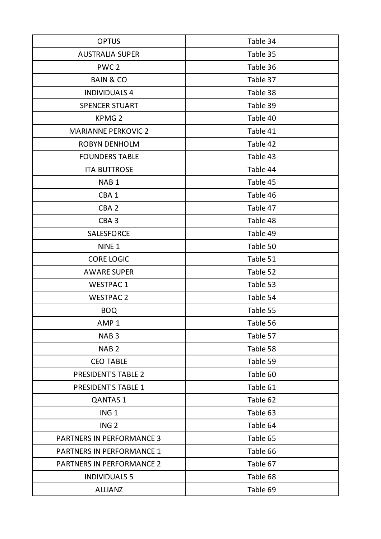| <b>OPTUS</b>                     | Table 34 |
|----------------------------------|----------|
| <b>AUSTRALIA SUPER</b>           | Table 35 |
| PWC <sub>2</sub>                 | Table 36 |
| <b>BAIN &amp; CO</b>             | Table 37 |
| <b>INDIVIDUALS 4</b>             | Table 38 |
| <b>SPENCER STUART</b>            | Table 39 |
| <b>KPMG2</b>                     | Table 40 |
| <b>MARIANNE PERKOVIC 2</b>       | Table 41 |
| <b>ROBYN DENHOLM</b>             | Table 42 |
| <b>FOUNDERS TABLE</b>            | Table 43 |
| <b>ITA BUTTROSE</b>              | Table 44 |
| NAB <sub>1</sub>                 | Table 45 |
| CBA <sub>1</sub>                 | Table 46 |
| CBA <sub>2</sub>                 | Table 47 |
| CBA <sub>3</sub>                 | Table 48 |
| <b>SALESFORCE</b>                | Table 49 |
| NINE <sub>1</sub>                | Table 50 |
| <b>CORE LOGIC</b>                | Table 51 |
| <b>AWARE SUPER</b>               | Table 52 |
| <b>WESTPAC1</b>                  | Table 53 |
| <b>WESTPAC 2</b>                 | Table 54 |
| <b>BOQ</b>                       | Table 55 |
| AMP <sub>1</sub>                 | Table 56 |
| NAB <sub>3</sub>                 | Table 57 |
| NAB <sub>2</sub>                 | Table 58 |
| <b>CEO TABLE</b>                 | Table 59 |
| <b>PRESIDENT'S TABLE 2</b>       | Table 60 |
| <b>PRESIDENT'S TABLE 1</b>       | Table 61 |
| <b>QANTAS 1</b>                  | Table 62 |
| ING <sub>1</sub>                 | Table 63 |
| ING <sub>2</sub>                 | Table 64 |
| <b>PARTNERS IN PERFORMANCE 3</b> | Table 65 |
| <b>PARTNERS IN PERFORMANCE 1</b> | Table 66 |
| <b>PARTNERS IN PERFORMANCE 2</b> | Table 67 |
| <b>INDIVIDUALS 5</b>             | Table 68 |
| <b>ALLIANZ</b>                   | Table 69 |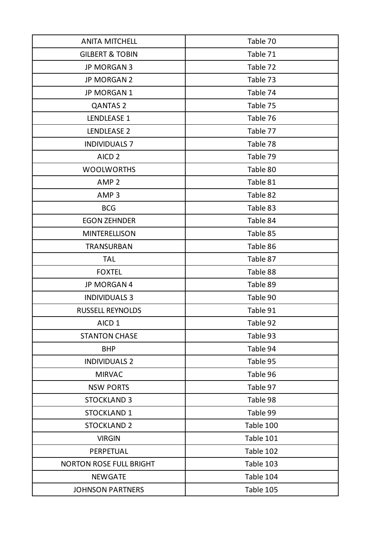| <b>ANITA MITCHELL</b>          | Table 70  |
|--------------------------------|-----------|
| <b>GILBERT &amp; TOBIN</b>     | Table 71  |
| <b>JP MORGAN 3</b>             | Table 72  |
| JP MORGAN 2                    | Table 73  |
| JP MORGAN 1                    | Table 74  |
| <b>QANTAS 2</b>                | Table 75  |
| LENDLEASE 1                    | Table 76  |
| LENDLEASE 2                    | Table 77  |
| <b>INDIVIDUALS 7</b>           | Table 78  |
| AICD <sub>2</sub>              | Table 79  |
| <b>WOOLWORTHS</b>              | Table 80  |
| AMP <sub>2</sub>               | Table 81  |
| AMP <sub>3</sub>               | Table 82  |
| <b>BCG</b>                     | Table 83  |
| <b>EGON ZEHNDER</b>            | Table 84  |
| <b>MINTERELLISON</b>           | Table 85  |
| <b>TRANSURBAN</b>              | Table 86  |
| <b>TAL</b>                     | Table 87  |
| <b>FOXTEL</b>                  | Table 88  |
| JP MORGAN 4                    | Table 89  |
| <b>INDIVIDUALS 3</b>           | Table 90  |
| <b>RUSSELL REYNOLDS</b>        | Table 91  |
| AICD <sub>1</sub>              | Table 92  |
| <b>STANTON CHASE</b>           | Table 93  |
| <b>BHP</b>                     | Table 94  |
| <b>INDIVIDUALS 2</b>           | Table 95  |
| <b>MIRVAC</b>                  | Table 96  |
| <b>NSW PORTS</b>               | Table 97  |
| <b>STOCKLAND 3</b>             | Table 98  |
| <b>STOCKLAND 1</b>             | Table 99  |
| <b>STOCKLAND 2</b>             | Table 100 |
| <b>VIRGIN</b>                  | Table 101 |
| PERPETUAL                      | Table 102 |
| <b>NORTON ROSE FULL BRIGHT</b> | Table 103 |
| <b>NEWGATE</b>                 | Table 104 |
| <b>JOHNSON PARTNERS</b>        | Table 105 |